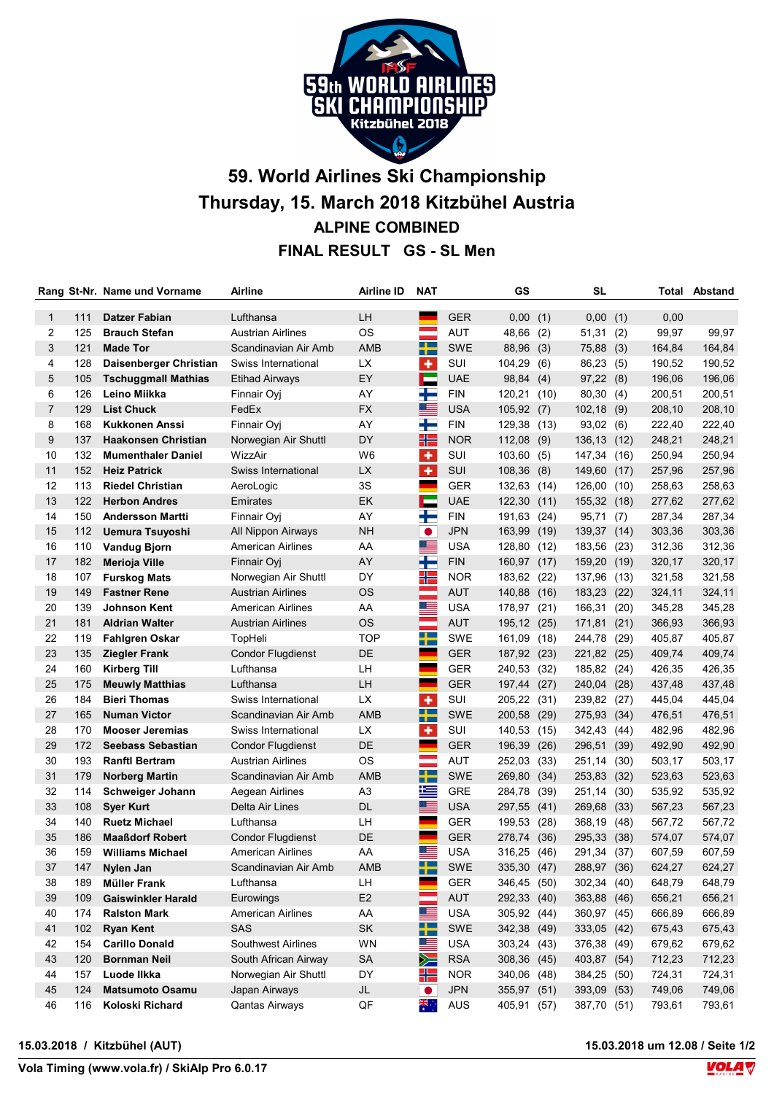

## 59. World Airlines Ski Championship Thursday, 15. March 2018 Kitzbühel Austria ALPINE COMBINED FINAL RESULT GS - SL Men

|                |     | Rang St-Nr. Name und Vorname | Airline                  | Airline ID     | NAT                 |            | GS           |      | SL           |      |        | <b>Total Abstand</b> |
|----------------|-----|------------------------------|--------------------------|----------------|---------------------|------------|--------------|------|--------------|------|--------|----------------------|
| $\mathbf 1$    | 111 | <b>Datzer Fabian</b>         | Lufthansa                | LH             |                     | <b>GER</b> | 0,00         | (1)  | 0,00         | (1)  | 0,00   |                      |
| 2              | 125 | <b>Brauch Stefan</b>         | <b>Austrian Airlines</b> | <b>OS</b>      | and a               | <b>AUT</b> | 48,66        | (2)  | 51,31        | (2)  | 99,97  | 99,97                |
| 3              | 121 | <b>Made Tor</b>              | Scandinavian Air Amb     | <b>AMB</b>     | ╈                   | <b>SWE</b> | 88,96 (3)    |      | 75,88 (3)    |      | 164,84 | 164,84               |
| 4              | 128 | Daisenberger Christian       | Swiss International      | <b>LX</b>      | ٠                   | SUI        | 104,29       | (6)  | 86,23        | (5)  | 190,52 | 190,52               |
| 5              | 105 | <b>Tschuggmall Mathias</b>   | <b>Etihad Airways</b>    | EY             | <b>Participate</b>  | <b>UAE</b> | 98,84        | (4)  | 97,22(8)     |      | 196,06 | 196,06               |
| 6              | 126 | Leino Miikka                 | Finnair Oyj              | AY             | ╈                   | <b>FIN</b> | 120,21       | (10) | 80,30 (4)    |      | 200,51 | 200,51               |
| $\overline{7}$ | 129 | <b>List Chuck</b>            | FedEx                    | FX             | ▀                   | <b>USA</b> | 105,92(7)    |      | $102,18$ (9) |      | 208,10 | 208,10               |
| 8              | 168 | <b>Kukkonen Anssi</b>        | Finnair Oyj              | AY             | ╅═                  | <b>FIN</b> | 129,38 (13)  |      | 93,02 (6)    |      | 222,40 | 222,40               |
| 9              | 137 | <b>Haakonsen Christian</b>   | Norwegian Air Shuttl     | DY             | HE                  | <b>NOR</b> | $112,08$ (9) |      | 136,13       | (12) | 248,21 | 248,21               |
| 10             | 132 | <b>Mumenthaler Daniel</b>    | WizzAir                  | W <sub>6</sub> | ÷                   | SUI        | 103,60 (5)   |      | 147,34       | (16) | 250,94 | 250,94               |
| 11             | 152 | <b>Heiz Patrick</b>          | Swiss International      | LX             | ٠                   | SUI        | $108,36$ (8) |      | 149,60       | (17) | 257,96 | 257,96               |
| 12             | 113 | <b>Riedel Christian</b>      | AeroLogic                | 3S             |                     | GER        | 132,63 (14)  |      | 126,00       | (10) | 258,63 | 258,63               |
| 13             | 122 | <b>Herbon Andres</b>         | Emirates                 | EK             | Е                   | <b>UAE</b> | 122,30       | (11) | 155,32       | (18) | 277,62 | 277,62               |
| 14             | 150 | <b>Andersson Martti</b>      | Finnair Oyj              | AY             | ÷                   | <b>FIN</b> | 191,63       | (24) | 95,71        | (7)  | 287,34 | 287,34               |
| 15             | 112 | <b>Uemura Tsuyoshi</b>       | All Nippon Airways       | <b>NH</b>      | $\bullet$           | <b>JPN</b> | 163,99       | (19) | 139,37       | (14) | 303,36 | 303,36               |
| 16             | 110 | <b>Vandug Bjorn</b>          | American Airlines        | AA             | <u> and</u>         | <b>USA</b> | 128,80 (12)  |      | 183,56       | (23) | 312,36 | 312,36               |
| 17             | 182 | Merioja Ville                | Finnair Oyj              | AY             | $\blacksquare$      | <b>FIN</b> | 160,97       | (17) | 159,20       | (19) | 320,17 | 320,17               |
| 18             | 107 | <b>Furskog Mats</b>          | Norwegian Air Shuttl     | DY             | ╬                   | <b>NOR</b> | 183,62 (22)  |      | 137,96       | (13) | 321,58 | 321,58               |
| 19             | 149 | <b>Fastner Rene</b>          | <b>Austrian Airlines</b> | <b>OS</b>      |                     | <b>AUT</b> | 140,88       | (16) | 183,23       | (22) | 324,11 | 324,11               |
| 20             | 139 | <b>Johnson Kent</b>          | <b>American Airlines</b> | AA             |                     | <b>USA</b> | 178,97       | (21) | 166,31       | (20) | 345,28 | 345,28               |
| 21             | 181 | <b>Aldrian Walter</b>        | <b>Austrian Airlines</b> | <b>OS</b>      | e e                 | <b>AUT</b> | 195,12 (25)  |      | 171,81       | (21) | 366,93 | 366,93               |
| 22             | 119 | <b>Fahlgren Oskar</b>        | TopHeli                  | <b>TOP</b>     | ╈                   | <b>SWE</b> | 161,09 (18)  |      | 244,78       | (29) | 405,87 | 405,87               |
| 23             | 135 | Ziegler Frank                | <b>Condor Flugdienst</b> | DE             |                     | <b>GER</b> | 187,92 (23)  |      | 221,82       | (25) | 409,74 | 409,74               |
| 24             | 160 | Kirberg Till                 | Lufthansa                | LН             | a.                  | <b>GER</b> | 240,53 (32)  |      | 185,82       | (24) | 426,35 | 426,35               |
| 25             | 175 | <b>Meuwly Matthias</b>       | Lufthansa                | LH             |                     | <b>GER</b> | 197,44       | (27) | 240,04       | (28) | 437,48 | 437,48               |
| 26             | 184 | <b>Bieri Thomas</b>          | Swiss International      | <b>LX</b>      | $\ddot{\textbf{r}}$ | SUI        | 205,22       | (31) | 239,82       | (27) | 445,04 | 445,04               |
| 27             | 165 | <b>Numan Victor</b>          | Scandinavian Air Amb     | <b>AMB</b>     | ┿                   | <b>SWE</b> | 200,58       | (29) | 275,93       | (34) | 476,51 | 476,51               |
| 28             | 170 | <b>Mooser Jeremias</b>       | Swiss International      | <b>LX</b>      | ÷                   | SUI        | 140,53 (15)  |      | 342,43       | (44) | 482,96 | 482,96               |
| 29             | 172 | <b>Seebass Sebastian</b>     | <b>Condor Flugdienst</b> | DE             | <b>Contract</b>     | <b>GER</b> | 196,39       | (26) | 296,51       | (39) | 492,90 | 492,90               |
| 30             | 193 | <b>Ranftl Bertram</b>        | <b>Austrian Airlines</b> | <b>OS</b>      | and a               | <b>AUT</b> | 252,03       | (33) | 251,14       | (30) | 503,17 | 503,17               |
| 31             | 179 | <b>Norberg Martin</b>        | Scandinavian Air Amb     | <b>AMB</b>     | ┿                   | <b>SWE</b> | 269,80       | (34) | 253,83       | (32) | 523,63 | 523,63               |
| 32             | 114 | Schweiger Johann             | Aegean Airlines          | A <sub>3</sub> | 兰                   | <b>GRE</b> | 284,78 (39)  |      | 251,14       | (30) | 535,92 | 535,92               |
| 33             | 108 | <b>Sver Kurt</b>             | Delta Air Lines          | <b>DL</b>      | ⋐═                  | <b>USA</b> | 297,55 (41)  |      | 269,68       | (33) | 567,23 | 567,23               |
| 34             | 140 | <b>Ruetz Michael</b>         | Lufthansa                | LН             |                     | <b>GER</b> | 199,53 (28)  |      | 368,19       | (48) | 567,72 | 567,72               |
| 35             | 186 | <b>Maaßdorf Robert</b>       | <b>Condor Flugdienst</b> | DE             |                     | GER        | 278,74       | (36) | 295,33       | (38) | 574,07 | 574,07               |
| 36             | 159 | <b>Williams Michael</b>      | American Airlines        | AA             | ▀                   | <b>USA</b> | 316,25 (46)  |      | 291,34       | (37) | 607,59 | 607,59               |
| 37             | 147 | Nylen Jan                    | Scandinavian Air Amb     | AMB            | ┯                   | SWE        | 335,30 (47)  |      | 288,97 (36)  |      | 624,27 | 624,27               |
| 38             | 189 | <b>Müller Frank</b>          | Lufthansa                | LH             |                     | GER        | 346,45 (50)  |      | 302,34 (40)  |      | 648,79 | 648,79               |
| 39             | 109 | <b>Gaiswinkler Harald</b>    | Eurowings                | E <sub>2</sub> | ÷                   | <b>AUT</b> | 292,33 (40)  |      | 363,88 (46)  |      | 656,21 | 656,21               |
| 40             | 174 | <b>Ralston Mark</b>          | <b>American Airlines</b> | AA             | ▀▀                  | <b>USA</b> | 305,92 (44)  |      | 360,97 (45)  |      | 666,89 | 666,89               |
| 41             | 102 | <b>Ryan Kent</b>             | SAS                      | SK             | ╈═                  | SWE        | 342,38 (49)  |      | 333,05 (42)  |      | 675,43 | 675,43               |
| 42             | 154 | <b>Carillo Donald</b>        | Southwest Airlines       | WN             | ▆▆                  | <b>USA</b> | 303,24 (43)  |      | 376,38 (49)  |      | 679,62 | 679,62               |
| 43             | 120 | <b>Bornman Neil</b>          | South African Airway     | <b>SA</b>      | $\geq$              | <b>RSA</b> | 308,36 (45)  |      | 403,87 (54)  |      | 712,23 | 712,23               |
| 44             | 157 | Luode Ilkka                  | Norwegian Air Shuttl     | DY             | 25                  | <b>NOR</b> | 340,06 (48)  |      | 384,25 (50)  |      | 724,31 | 724,31               |
| 45             | 124 | <b>Matsumoto Osamu</b>       | Japan Airways            | JL             | $\bullet$           | <b>JPN</b> | 355,97 (51)  |      | 393,09 (53)  |      | 749,06 | 749,06               |
| 46             | 116 | Koloski Richard              | <b>Qantas Airways</b>    | QF             | *<br>*              | AUS        | 405,91 (57)  |      | 387,70 (51)  |      | 793,61 | 793,61               |

## 15.03.2018 / Kitzbühel (AUT) 15.03.2018 um 12.08 / Seite 1/2